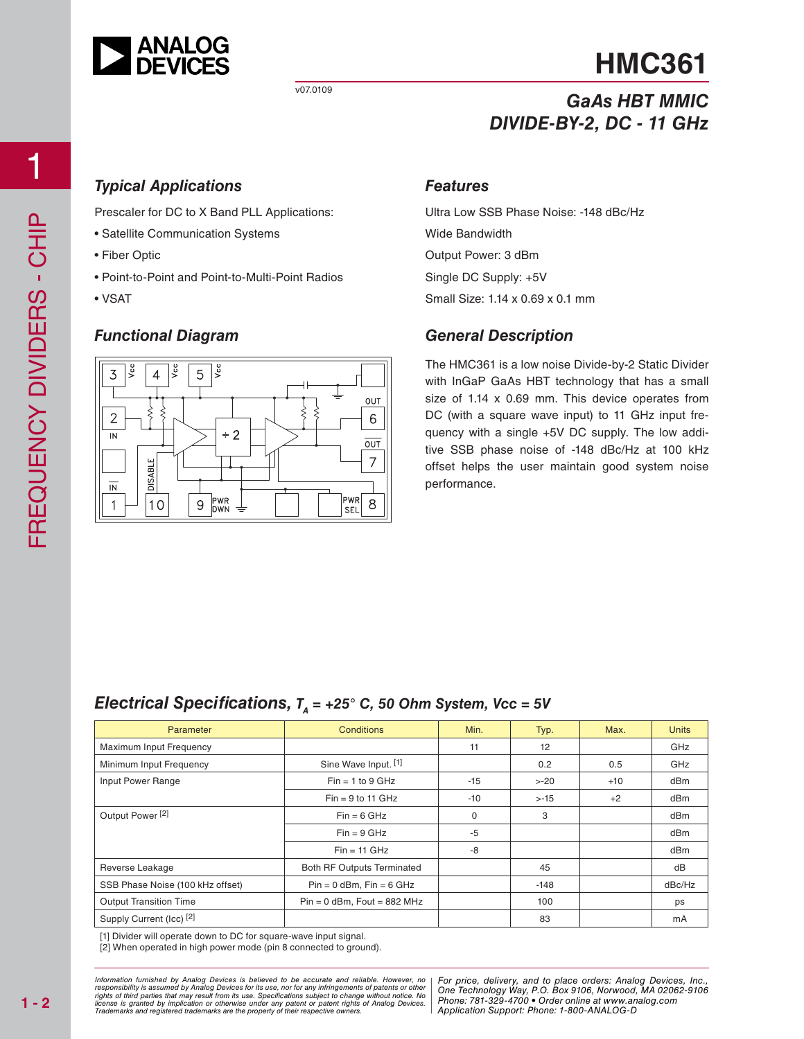

# **HMC361**

# *GaAs HBT MMIC DIVIDE-BY-2, DC - 11 GHz*

## *Typical Applications*

Prescaler for DC to X Band PLL Applications:

- Satellite Communication Systems
- Fiber Optic
- Point-to-Point and Point-to-Multi-Point Radios
- VSAT

### *Functional Diagram*



#### *Features*

Ultra Low SSB Phase Noise: -148 dBc/Hz Wide Bandwidth Output Power: 3 dBm Single DC Supply: +5V Small Size: 1.14 x 0.69 x 0.1 mm

### *General Description*

The HMC361 is a low noise Divide-by-2 Static Divider with InGaP GaAs HBT technology that has a small size of 1.14 x 0.69 mm. This device operates from DC (with a square wave input) to 11 GHz input frequency with a single +5V DC supply. The low additive SSB phase noise of -148 dBc/Hz at 100 kHz offset helps the user maintain good system noise performance.

## *Electrical Specifications,*  $T_A = +25^\circ$  *C, 50 Ohm System, Vcc = 5V*

| Parameter                        | <b>Conditions</b>                 | Min.  | Typ.    | Max.  | <b>Units</b> |
|----------------------------------|-----------------------------------|-------|---------|-------|--------------|
| Maximum Input Frequency          |                                   | 11    | 12      |       | GHz          |
| Minimum Input Frequency          | Sine Wave Input. [1]              |       | 0.2     | 0.5   | GHz          |
| Input Power Range                | $Fin = 1$ to 9 GHz                | $-15$ | $> -20$ | $+10$ | dBm          |
|                                  | $Fin = 9$ to 11 GHz               | $-10$ | $> -15$ | $+2$  | dBm          |
| Output Power <sup>[2]</sup>      | $Fin = 6 GHz$                     | 0     | 3       |       | dBm          |
|                                  | $Fin = 9 GHz$                     | $-5$  |         |       | dBm          |
|                                  | $Fin = 11$ GHz                    | -8    |         |       | dBm          |
| Reverse Leakage                  | <b>Both RF Outputs Terminated</b> |       | 45      |       | dB           |
| SSB Phase Noise (100 kHz offset) | $Pin = 0$ dBm, $Fin = 6$ GHz      |       | $-148$  |       | dBc/Hz       |
| <b>Output Transition Time</b>    | $Pin = 0$ dBm, Fout = 882 MHz     |       | 100     |       | ps           |
| Supply Current (Icc) [2]         |                                   |       | 83      |       | mA           |

[1] Divider will operate down to DC for square-wave input signal.

[2] When operated in high power mode (pin 8 connected to ground).

at may result from its use. Specifications subject to change without notice. No **change in the change of the ch**<br>polication or otherwise under any patent or patent rights of Analog Devices Phone: 781-329-4700 • Order onlin pective owners. The Contract of Application St *Information furnished by Analog Devices is believed to be accurate and reliable. However, no*  responsibility is assumed by Analog Devices for its use, nor for any infringements of patents or other<br>rights of third parties that may result from its use. Specifications subject to change without notice. No<br>license is gr

d by Analog Devices is believed to be accurate and reliable. However, no | For price, delivery, and to place orders: Analog Devices, Inc.,<br>umed by Analog Devices for its use, not for any infringements of patents or other | *Phone: 781-329-4700 • Order online at www.analog.com Application Support: Phone: 1-800-ANALOG-D*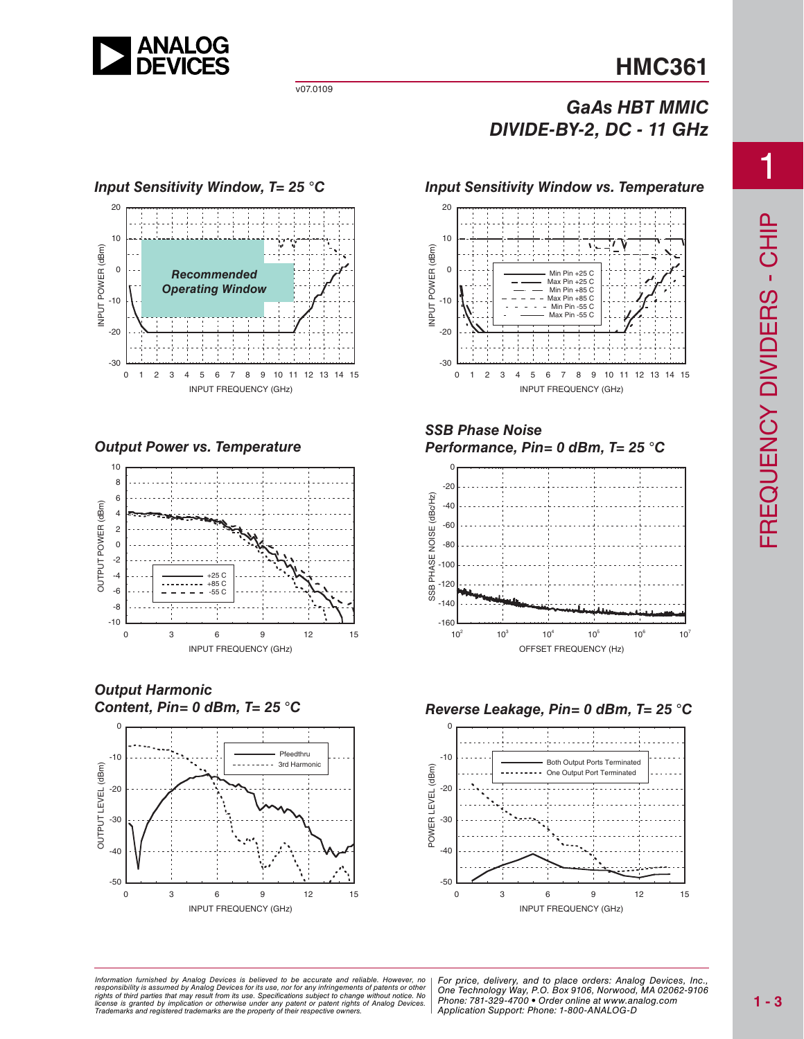

# **HMC361**

## *GaAs HBT MMIC DIVIDE-BY-2, DC - 11 GHz*

#### *Input Sensitivity Window, T= 25 °C* 20 10 NPUT POWER (dBm) INPUT POWER (dBm) 0 *Recommended Operating Window* -10  $-20$ -30 0 1 2 3 4 5 6 7 8 9 10 11 12 13 14 15 INPUT FREQUENCY (GHz)

*Output Power vs. Temperature*



*Output Harmonic Content, Pin= 0 dBm, T= 25 °C*



#### *Input Sensitivity Window vs. Temperature*



#### *SSB Phase Noise Performance, Pin= 0 dBm, T= 25 °C*



#### *Reverse Leakage, Pin= 0 dBm, T= 25 °C*



at may result from its use. Specifications subject to change without notice. No<br>mplication or otherwise under any patent or patent rights of Analog Devices Phone: 781-329-4700 • Order online at www.a spective owners.  $\blacksquare$  Application S *Information furnished by Analog Devices is believed to be accurate and reliable. However, no*  responsibility is assumed by Analog Devices for its use, nor for any infringements of patents or other<br>rights of third parties that may result from its use. Specifications subject to change without notice. No<br>license is gr

ed by Analog Devices is believed to be accurate and reliable. However, no | For price, delivery, and to place orders: Analog Devices, Inc.,<br>umed by Analog Devices for its use, not for any infringements of patents or other *Phone: 781-329-4700 • Order online at www.analog.com Application Support: Phone: 1-800-ANALOG-D*

1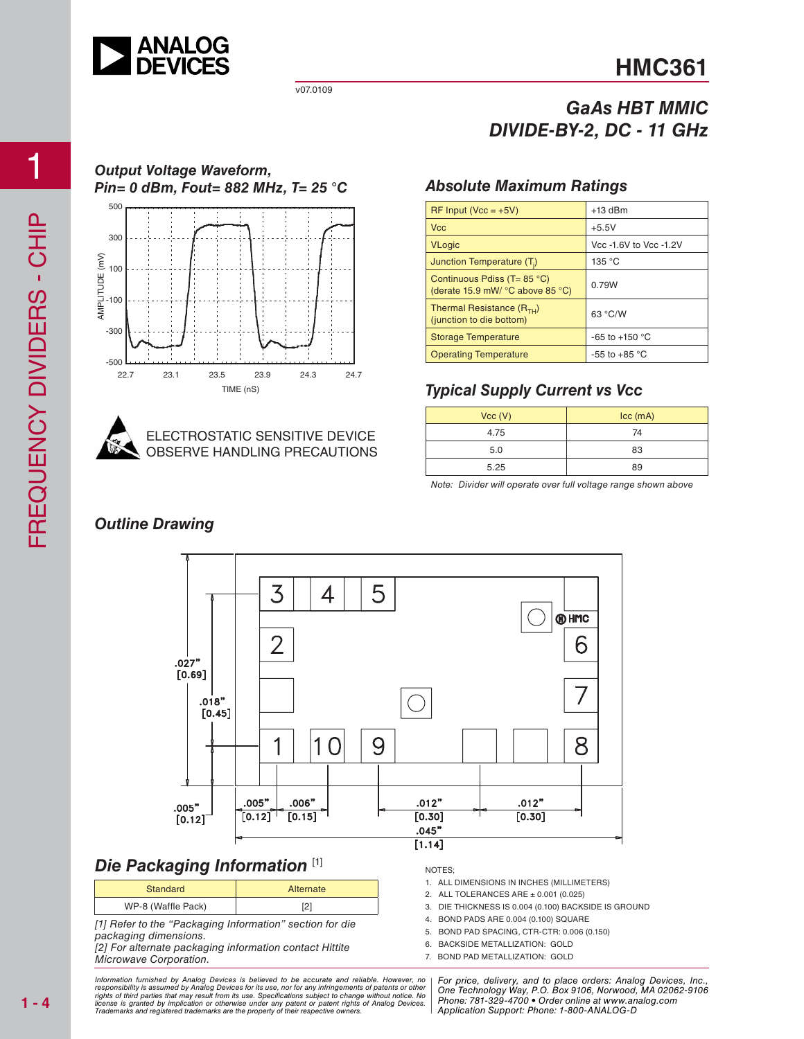

*Output Voltage Waveform,*

v07.0109

**ECTROSTATIC SENSITIVE DEVICE** OBSERVE HANDLING PRECAUTIONS

22.7 23.1 23.5 23.9 24.3 24.7

TIME (nS)

# **HMC361**

## *GaAs HBT MMIC DIVIDE-BY-2, DC - 11 GHz*

## *Pin= 0 dBm, Fout= 882 MHz, T= 25 °C Absolute Maximum Ratings*

| $RF$ Input (Vcc = +5V)                                              | $+13$ dBm              |  |
|---------------------------------------------------------------------|------------------------|--|
| <b>Vcc</b>                                                          | $+5.5V$                |  |
| <b>VLogic</b>                                                       | Vcc -1.6V to Vcc -1.2V |  |
| Junction Temperature (T <sub>i</sub> )                              | 135 °C                 |  |
| Continuous Pdiss ( $T = 85$ °C)<br>(derate 15.9 mW/ °C above 85 °C) | 0.79W                  |  |
| Thermal Resistance $(R_{TH})$<br>(junction to die bottom)           | 63 °C/W                |  |
| <b>Storage Temperature</b>                                          | $-65$ to $+150$ °C     |  |
| <b>Operating Temperature</b>                                        | $-55$ to $+85$ °C      |  |

## *Typical Supply Current vs Vcc*

| Vcc (V) | $\textsf{lcc}$ (mA) |  |
|---------|---------------------|--|
| 4.75    | 74                  |  |
| 5.0     | 83                  |  |
| 5.25    | 89                  |  |

Note: Divider will operate over full voltage range shown above

## *Outline Drawing*



## *Die Packaging Information* [1]

| Standard           | Alternate |
|--------------------|-----------|
| WP-8 (Waffle Pack) | ∠         |

[1] Refer to the "Packaging Information" section for die packaging dimensions.

[2] For alternate packaging information contact Hittite Microwave Corporation.

NOTES;

- 1. ALL DIMENSIONS IN INCHES (MILLIMETERS)
- 2. ALL TOLERANCES ARE ± 0.001 (0.025)
- 3. DIE THICKNESS IS 0.004 (0.100) BACKSIDE IS GROUND
- 4. BOND PADS ARE 0.004 (0.100) SQUARE
- 5. BOND PAD SPACING, CTR-CTR: 0.006 (0.150)
- 6. BACKSIDE METALLIZATION: GOLD 7. BOND PAD METALLIZATION: GOLD

at may result from its use. Specifications subject to change without notice. No **change in the change of the ch**<br>polication or otherwise under any patent or patent rights of Analog Devices Phone: 781-329-4700 • Order onlin pective owners. The Contract of Application St *Information furnished by Analog Devices is believed to be accurate and reliable. However, no*  responsibility is assumed by Analog Devices for its use, nor for any infringements of patents or other<br>rights of third parties that may result from its use. Specifications subject to change without notice. No<br>license is gr

d by Analog Devices is believed to be accurate and reliable. However, no | For price, delivery, and to place orders: Analog Devices, Inc.,<br>umed by Analog Devices for its use, not for any infringements of patents or other | *Phone: 781-329-4700 • Order online at www.analog.com Application Support: Phone: 1-800-ANALOG-D*

 $-500$ 

 $-300$ 

-100

AMPLITUDE (mV)

100

300

500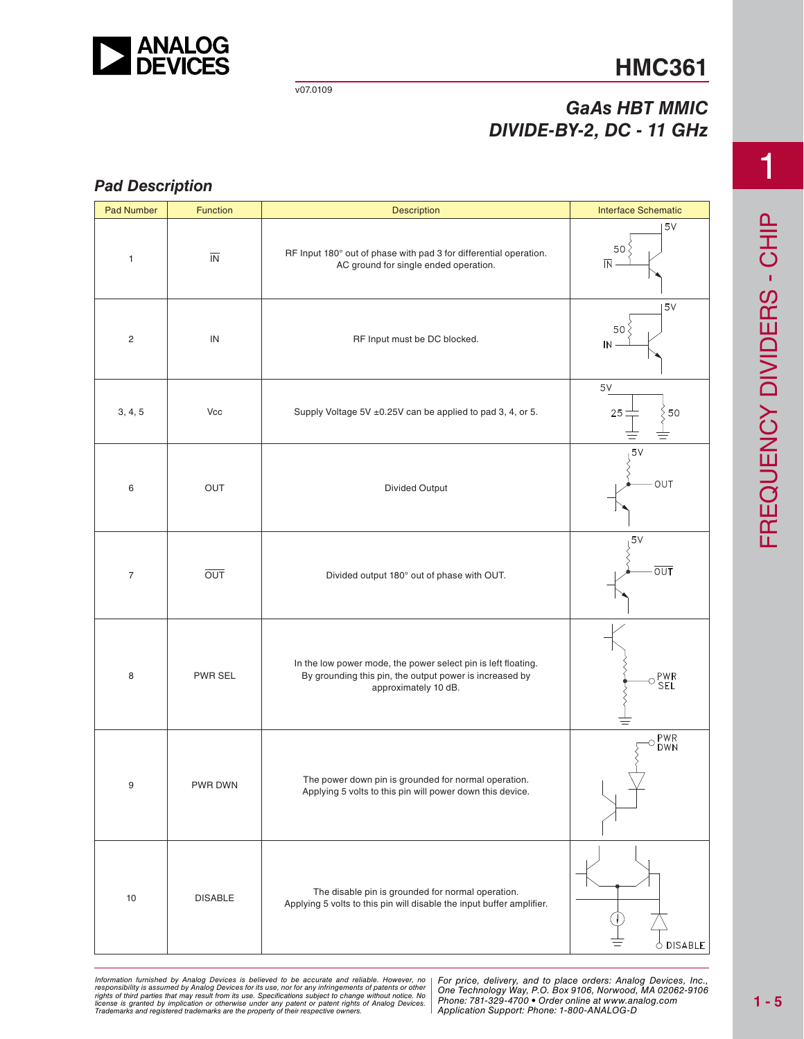

# **HMC361**

## *GaAs HBT MMIC DIVIDE-BY-2, DC - 11 GHz*

### *Pad Description*

| <b>Pad Number</b> | Function                 | <b>Description</b>                                                                                                                               | <b>Interface Schematic</b>                        |
|-------------------|--------------------------|--------------------------------------------------------------------------------------------------------------------------------------------------|---------------------------------------------------|
| $\mathbf{1}$      | $\overline{\mathsf{IN}}$ | RF Input 180° out of phase with pad 3 for differential operation.<br>AC ground for single ended operation.                                       | 5V<br>50 <sup>2</sup><br>$\overline{\mathsf{IN}}$ |
| $\overline{c}$    | IN                       | RF Input must be DC blocked.                                                                                                                     | 5V<br>50 <sup>o</sup><br>IN                       |
| 3, 4, 5           | Vcc                      | Supply Voltage 5V ±0.25V can be applied to pad 3, 4, or 5.                                                                                       | $5V$<br>50<br>25                                  |
| 6                 | OUT                      | Divided Output                                                                                                                                   | 5V<br>OUT                                         |
| $\overline{7}$    | $\overline{OUT}$         | Divided output 180° out of phase with OUT.                                                                                                       | 5V<br>$\overline{OUT}$                            |
| 8                 | PWR SEL                  | In the low power mode, the power select pin is left floating.<br>By grounding this pin, the output power is increased by<br>approximately 10 dB. | $\circ \frac{\mathsf{PWR}}{\mathsf{SEL}}$         |
| 9                 | PWR DWN                  | The power down pin is grounded for normal operation.<br>Applying 5 volts to this pin will power down this device.                                | PWR<br>DWN<br>Ω                                   |
| 10                | <b>DISABLE</b>           | The disable pin is grounded for normal operation.<br>Applying 5 volts to this pin will disable the input buffer amplifier.                       | $\circ$ DISABLE                                   |

ed by Analog Devices is believed to be accurate and reliable. However, no [For price, delivery, and to place orders: Analog<br>umed by Analog Devices for its use nor for any infringements of patents or other [One Technologu W at may result from its use. Specifications subject to change without notice. No<br>mplication or otherwise under any patent or patent rights of Analog Devices Phone: 781-329-4700 • Order online at www.a spective owners.  $\blacksquare$  Application S Information furnished by Analog Devices is believed to be accurate and reliable. However, no<br>responsibility is assumed by Analog Devices for its use, nor for any infringements of patents or other<br>rights of third parties th

*For price, delivery, and to place orders: Analog Devices, Inc., One Technology Way, P.O. Box 9106, Norwood, MA 02062-9106 Phone: 781-329-4700 • Order online at www.analog.com Application Support: Phone: 1-800-ANALOG-D*

1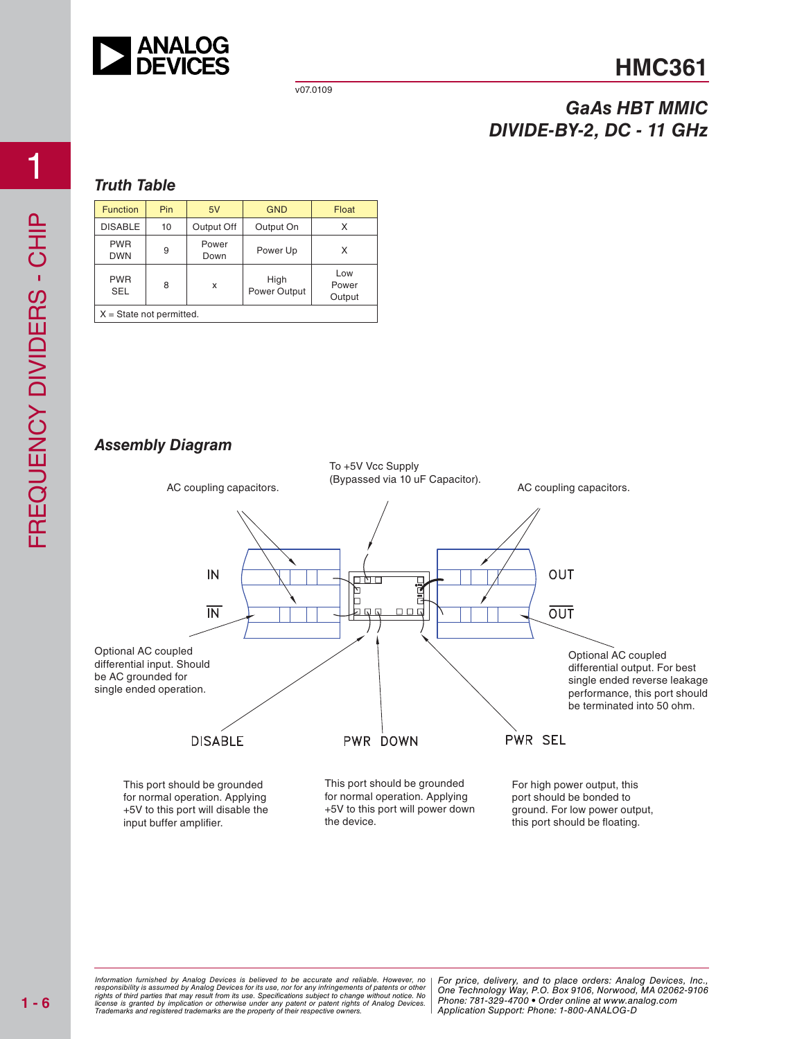

# **HMC361**

## *GaAs HBT MMIC DIVIDE-BY-2, DC - 11 GHz*

#### *Truth Table*

| <b>Function</b>            | Pin | 5V            | <b>GND</b>           | Float                  |
|----------------------------|-----|---------------|----------------------|------------------------|
| <b>DISABLE</b>             | 10  | Output Off    | Output On            |                        |
| <b>PWR</b><br><b>DWN</b>   | 9   | Power<br>Down | Power Up             | X                      |
| <b>PWR</b><br><b>SEL</b>   | 8   | x             | High<br>Power Output | Low<br>Power<br>Output |
| $X = State not permitted.$ |     |               |                      |                        |

*Assembly Diagram*



at may result from its use. Specifications subject to change without notice. No **change in the change of the ch**<br>polication or otherwise under any patent or patent rights of Analog Devices Phone: 781-329-4700 • Order onlin pective owners. The Contract of Application St *Information furnished by Analog Devices is believed to be accurate and reliable. However, no*  responsibility is assumed by Analog Devices for its use, nor for any infringements of patents or other<br>rights of third parties that may result from its use. Specifications subject to change without notice. No<br>license is gr

d by Analog Devices is believed to be accurate and reliable. However, no | For price, delivery, and to place orders: Analog Devices, Inc.,<br>umed by Analog Devices for its use, not for any infringements of patents or other | *Phone: 781-329-4700 • Order online at www.analog.com Application Support: Phone: 1-800-ANALOG-D*